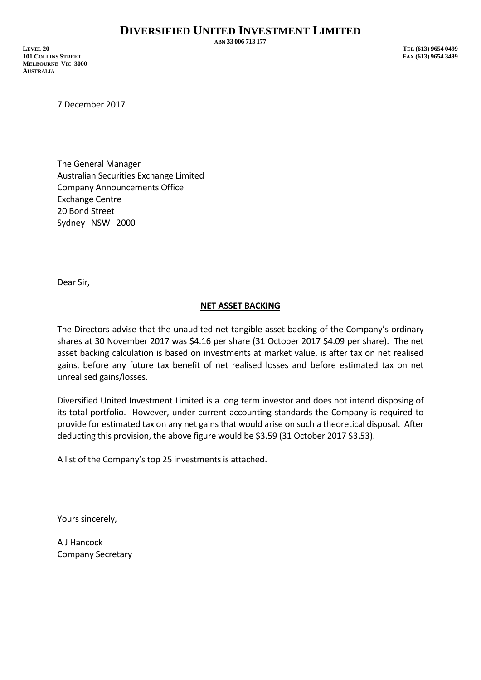**ABN 33 006 713 177**

**LEVEL 20 TEL (613) 9654 0499 101 COLLINS STREET FAX (613) 9654 3499 MELBOURNE VIC 3000 AUSTRALIA**

7 December 2017

The General Manager Australian Securities Exchange Limited Company Announcements Office Exchange Centre 20 Bond Street Sydney NSW 2000

Dear Sir,

## **NET ASSET BACKING**

The Directors advise that the unaudited net tangible asset backing of the Company's ordinary shares at 30 November 2017 was \$4.16 per share (31 October 2017 \$4.09 per share). The net asset backing calculation is based on investments at market value, is after tax on net realised gains, before any future tax benefit of net realised losses and before estimated tax on net unrealised gains/losses.

Diversified United Investment Limited is a long term investor and does not intend disposing of its total portfolio. However, under current accounting standards the Company is required to provide for estimated tax on any net gains that would arise on such a theoretical disposal. After deducting this provision, the above figure would be \$3.59 (31 October 2017 \$3.53).

A list of the Company's top 25 investments is attached.

Yours sincerely,

A J Hancock Company Secretary